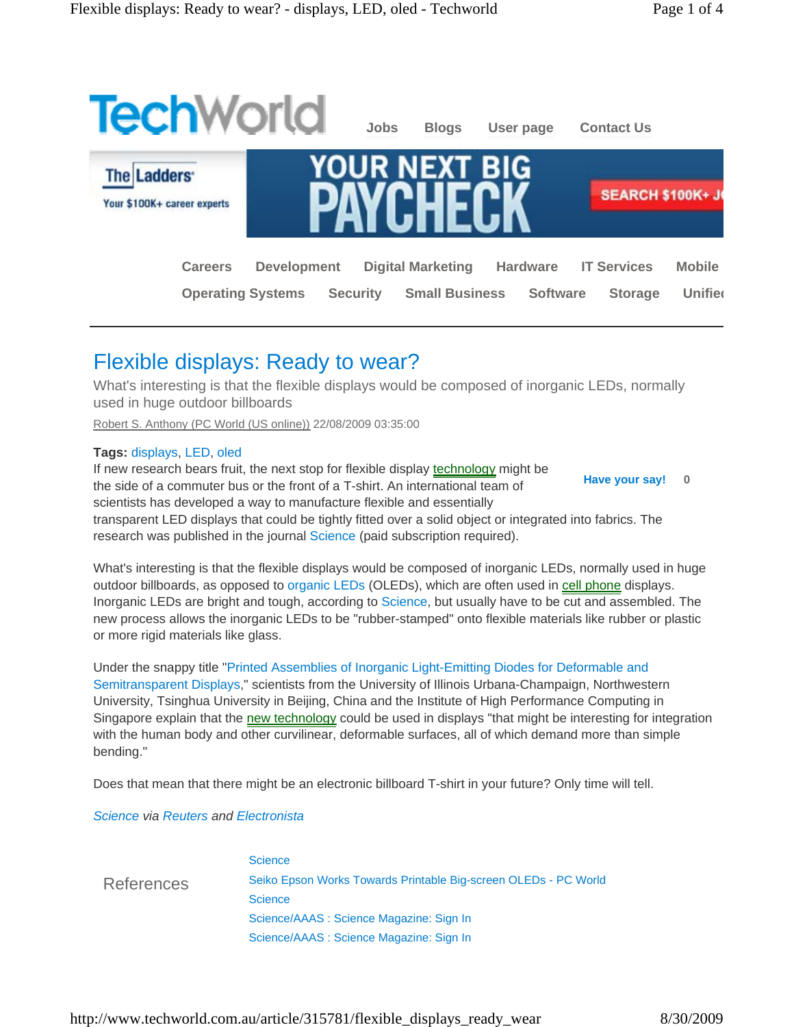

# Flexible displays: Ready to wear?

What's interesting is that the flexible displays would be composed of inorganic LEDs, normally used in huge outdoor billboards

Robert S. Anthony (PC World (US online)) 22/08/2009 03:35:00

## **Tags:** displays, LED, oled

**Have your say! 0** If new research bears fruit, the next stop for flexible display technology might be the side of a commuter bus or the front of a T-shirt. An international team of scientists has developed a way to manufacture flexible and essentially transparent LED displays that could be tightly fitted over a solid object or integrated into fabrics. The research was published in the journal Science (paid subscription required).

What's interesting is that the flexible displays would be composed of inorganic LEDs, normally used in huge outdoor billboards, as opposed to organic LEDs (OLEDs), which are often used in cell phone displays. Inorganic LEDs are bright and tough, according to Science, but usually have to be cut and assembled. The new process allows the inorganic LEDs to be "rubber-stamped" onto flexible materials like rubber or plastic or more rigid materials like glass.

Under the snappy title "Printed Assemblies of Inorganic Light-Emitting Diodes for Deformable and Semitransparent Displays," scientists from the University of Illinois Urbana-Champaign, Northwestern University, Tsinghua University in Beijing, China and the Institute of High Performance Computing in Singapore explain that the new technology could be used in displays "that might be interesting for integration with the human body and other curvilinear, deformable surfaces, all of which demand more than simple bending."

Does that mean that there might be an electronic billboard T-shirt in your future? Only time will tell.

## *Science via Reuters and Electronista*

|            | <b>Science</b>                                                  |
|------------|-----------------------------------------------------------------|
| References | Seiko Epson Works Towards Printable Big-screen OLEDs - PC World |
|            | <b>Science</b>                                                  |
|            | Science/AAAS: Science Magazine: Sign In                         |
|            | Science/AAAS: Science Magazine: Sign In                         |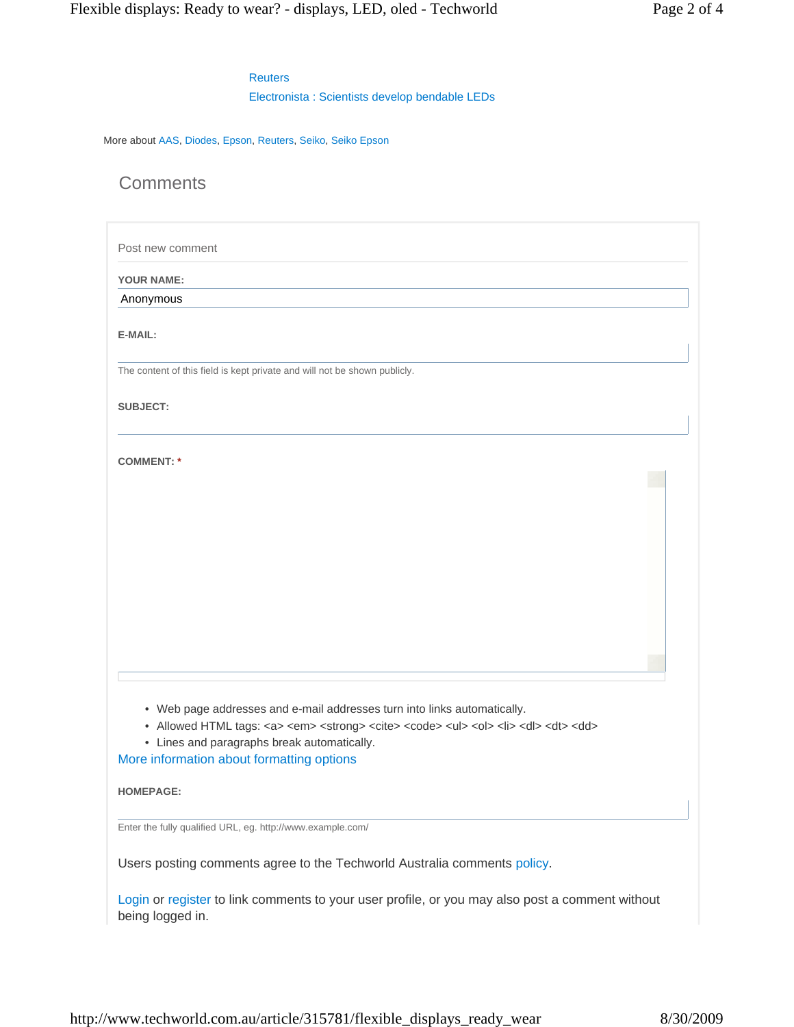## **Reuters**

Electronista : Scientists develop bendable LEDs

More about AAS, Diodes, Epson, Reuters, Seiko, Seiko Epson

**Comments** 

Post new comment

**YOUR NAME:** 

Anonymous

**E-MAIL:** 

The content of this field is kept private and will not be shown publicly.

**SUBJECT:** 

**COMMENT: \***

- Web page addresses and e-mail addresses turn into links automatically.
- Allowed HTML tags: <a> <em> <strong> <cite> <code> <ul> <ol> <li> <dl> <dl> <dd>
- Lines and paragraphs break automatically.

More information about formatting options

**HOMEPAGE:** 

Enter the fully qualified URL, eg. http://www.example.com/

Users posting comments agree to the Techworld Australia comments policy.

Login or register to link comments to your user profile, or you may also post a comment without being logged in.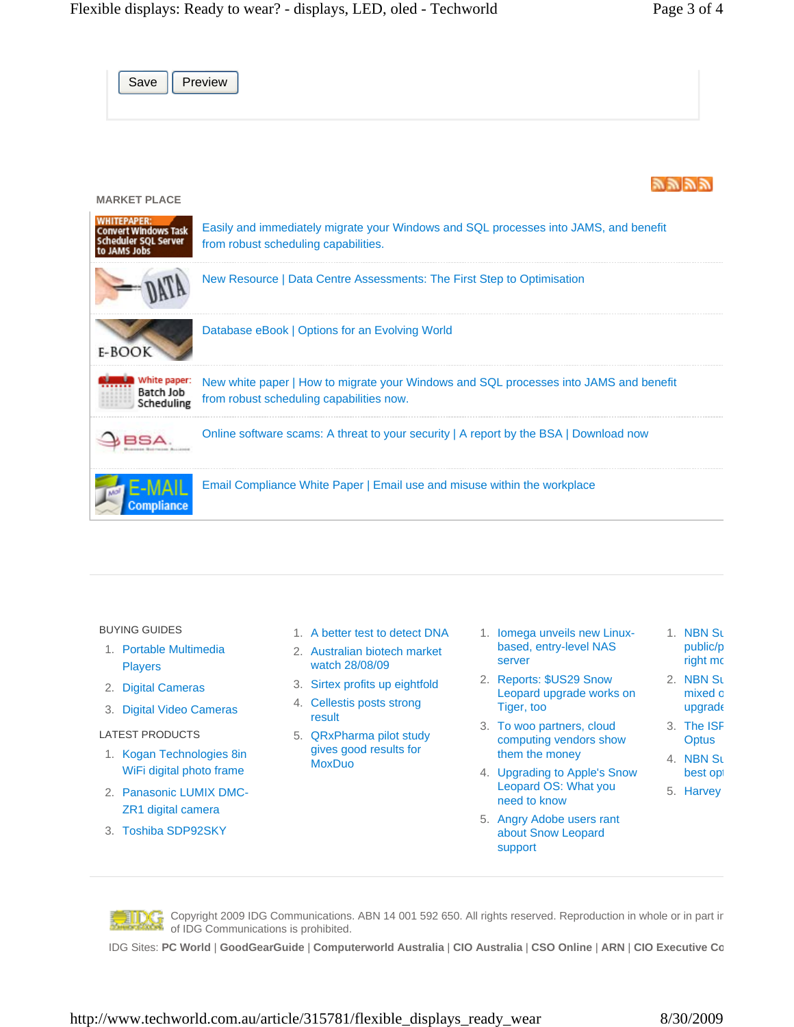Save | Preview ツツツツ **MARKET PLACE WHITEPAPER:** Easily and immediately migrate your Windows and SQL processes into JAMS, and benefit

| COUVELL MILIODAVE 192K<br>Scheduler SQL Server<br>to JAMS Jobs | Labity and immodiatory migrato your remaining and backprocesses into or line; and bonome<br>from robust scheduling capabilities.  |
|----------------------------------------------------------------|-----------------------------------------------------------------------------------------------------------------------------------|
|                                                                | New Resource   Data Centre Assessments: The First Step to Optimisation                                                            |
| $E-BOO$                                                        | Database eBook   Options for an Evolving World                                                                                    |
| White paper:<br>Batch Job<br>Scheduling                        | New white paper   How to migrate your Windows and SQL processes into JAMS and benefit<br>from robust scheduling capabilities now. |
|                                                                | Online software scams: A threat to your security   A report by the BSA   Download now                                             |
| ompliance                                                      | Email Compliance White Paper   Email use and misuse within the workplace                                                          |

## BUYING GUIDES

- 1. Portable Multimedia Players
- 2. Digital Cameras
- 3. Digital Video Cameras

## LATEST PRODUCTS

- 1. Kogan Technologies 8in WiFi digital photo frame
- 2. Panasonic LUMIX DMC-ZR1 digital camera
- 3. Toshiba SDP92SKY
- 1. A better test to detect DNA
- 2. Australian biotech market watch 28/08/09
- 3. Sirtex profits up eightfold
- 4. Cellestis posts strong result
- 5. QRxPharma pilot study gives good results for **MoxDuo**
- 1. Iomega unveils new Linuxbased, entry-level NAS server 1. NBN Su public/p right mc
- 2. Reports: \$US29 Snow Leopard upgrade works on Tiger, too
- 3. To woo partners, cloud computing vendors show them the money
- 4. Upgrading to Apple's Snow Leopard OS: What you need to know
- 5. Angry Adobe users rant about Snow Leopard support



Copyright 2009 IDG Communications. ABN 14 001 592 650. All rights reserved. Reproduction in whole or in part in of IDG Communications is prohibited.

IDG Sites: **PC World** | **GoodGearGuide** | **Computerworld Australia** | **CIO Australia** | **CSO Online** | **ARN** | **CIO Executive Co**

2. NBN Su mixed o upgrade 3. The ISF **Optus** 4. NBN Su best opt 5. Harvey